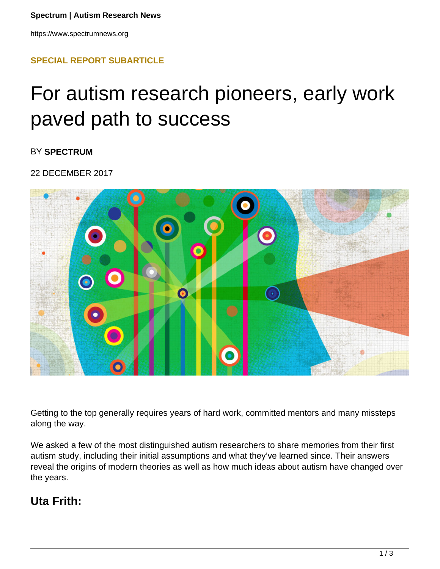### **[SPECIAL REPORT SUBARTICLE](HTTPS://WWW.SPECTRUMNEWS.ORG/FEATURES/SPECIAL-REPORT/)**

# For autism research pioneers, early work paved path to success

BY **SPECTRUM**

22 DECEMBER 2017



Getting to the top generally requires years of hard work, committed mentors and many missteps along the way.

We asked a few of the most distinguished autism researchers to share memories from their first autism study, including their initial assumptions and what they've learned since. Their answers reveal the origins of modern theories as well as how much ideas about autism have changed over the years.

## **Uta Frith:**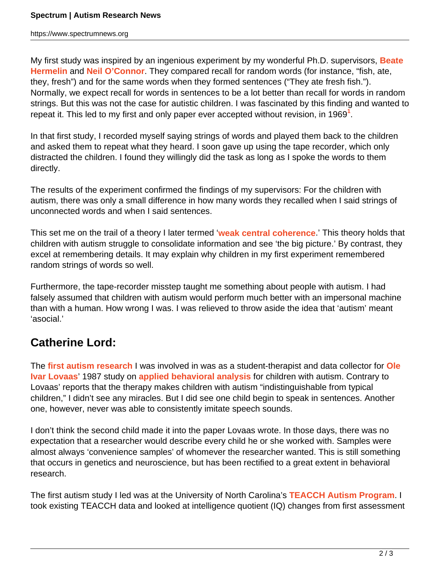https://www.spectrumnews.org

My first study was inspired by an ingenious experiment by my wonderful Ph.D. supervisors, **Beate Hermelin** and **Neil O'Connor**. They compared recall for random words (for instance, "fish, ate, they, fresh") and for the same words when they formed sentences ("They ate fresh fish."). Normally, we expect recall for words in sentences to be a lot better than recall for words in random strings. But this was not the case for autistic children. I was fascinated by this finding and wanted to repeat it. This led to my first and only paper ever accepted without revision, in 1969**<sup>1</sup>** .

In that first study, I recorded myself saying strings of words and played them back to the children and asked them to repeat what they heard. I soon gave up using the tape recorder, which only distracted the children. I found they willingly did the task as long as I spoke the words to them directly.

The results of the experiment confirmed the findings of my supervisors: For the children with autism, there was only a small difference in how many words they recalled when I said strings of unconnected words and when I said sentences.

This set me on the trail of a theory I later termed '**weak central coherence**.' This theory holds that children with autism struggle to consolidate information and see 'the big picture.' By contrast, they excel at remembering details. It may explain why children in my first experiment remembered random strings of words so well.

Furthermore, the tape-recorder misstep taught me something about people with autism. I had falsely assumed that children with autism would perform much better with an impersonal machine than with a human. How wrong I was. I was relieved to throw aside the idea that 'autism' meant 'asocial.'

# **Catherine Lord:**

The **first autism research** I was involved in was as a student-therapist and data collector for **Ole Ivar Lovaas**' 1987 study on **applied behavioral analysis** for children with autism. Contrary to Lovaas' reports that the therapy makes children with autism "indistinguishable from typical children," I didn't see any miracles. But I did see one child begin to speak in sentences. Another one, however, never was able to consistently imitate speech sounds.

I don't think the second child made it into the paper Lovaas wrote. In those days, there was no expectation that a researcher would describe every child he or she worked with. Samples were almost always 'convenience samples' of whomever the researcher wanted. This is still something that occurs in genetics and neuroscience, but has been rectified to a great extent in behavioral research.

The first autism study I led was at the University of North Carolina's **TEACCH Autism Program**. I took existing TEACCH data and looked at intelligence quotient (IQ) changes from first assessment